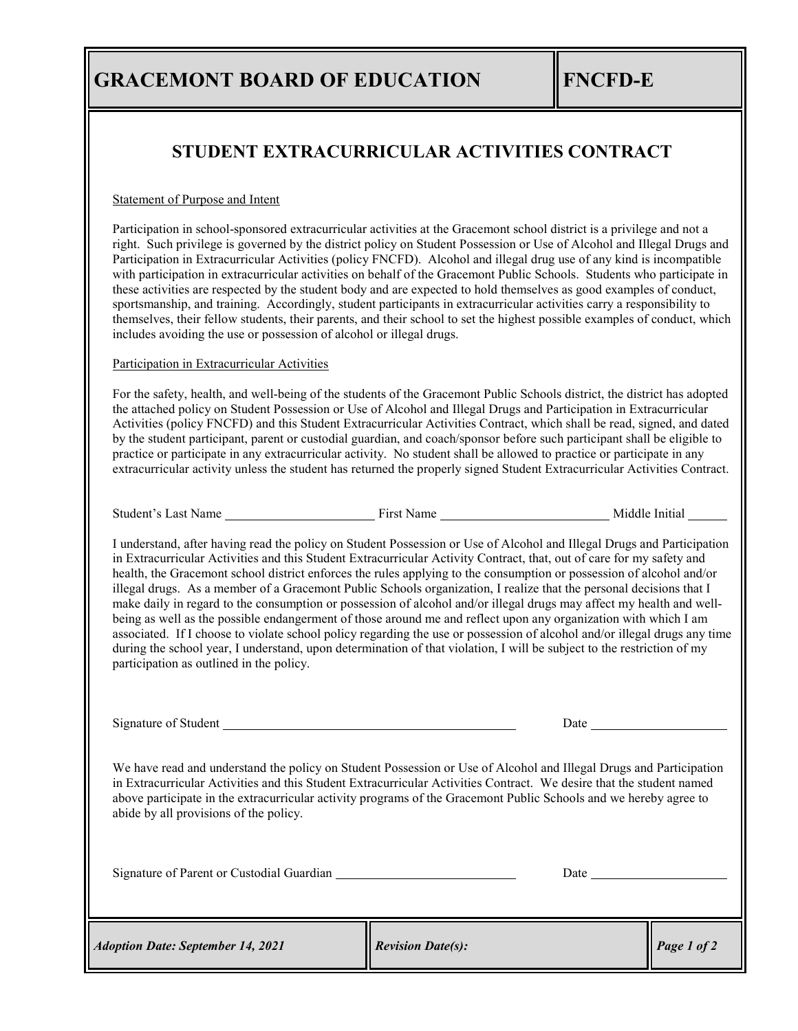## **STUDENT EXTRACURRICULAR ACTIVITIES CONTRACT**

## Statement of Purpose and Intent

Participation in school-sponsored extracurricular activities at the Gracemont school district is a privilege and not a right. Such privilege is governed by the district policy on Student Possession or Use of Alcohol and Illegal Drugs and Participation in Extracurricular Activities (policy FNCFD). Alcohol and illegal drug use of any kind is incompatible with participation in extracurricular activities on behalf of the Gracemont Public Schools. Students who participate in these activities are respected by the student body and are expected to hold themselves as good examples of conduct, sportsmanship, and training. Accordingly, student participants in extracurricular activities carry a responsibility to themselves, their fellow students, their parents, and their school to set the highest possible examples of conduct, which includes avoiding the use or possession of alcohol or illegal drugs.

## Participation in Extracurricular Activities

For the safety, health, and well-being of the students of the Gracemont Public Schools district, the district has adopted the attached policy on Student Possession or Use of Alcohol and Illegal Drugs and Participation in Extracurricular Activities (policy FNCFD) and this Student Extracurricular Activities Contract, which shall be read, signed, and dated by the student participant, parent or custodial guardian, and coach/sponsor before such participant shall be eligible to practice or participate in any extracurricular activity. No student shall be allowed to practice or participate in any extracurricular activity unless the student has returned the properly signed Student Extracurricular Activities Contract.

Student's Last Name First Name Middle Initial

I understand, after having read the policy on Student Possession or Use of Alcohol and Illegal Drugs and Participation in Extracurricular Activities and this Student Extracurricular Activity Contract, that, out of care for my safety and health, the Gracemont school district enforces the rules applying to the consumption or possession of alcohol and/or illegal drugs. As a member of a Gracemont Public Schools organization, I realize that the personal decisions that I make daily in regard to the consumption or possession of alcohol and/or illegal drugs may affect my health and wellbeing as well as the possible endangerment of those around me and reflect upon any organization with which I am associated. If I choose to violate school policy regarding the use or possession of alcohol and/or illegal drugs any time during the school year, I understand, upon determination of that violation, I will be subject to the restriction of my participation as outlined in the policy.

Signature of Student Date

We have read and understand the policy on Student Possession or Use of Alcohol and Illegal Drugs and Participation in Extracurricular Activities and this Student Extracurricular Activities Contract. We desire that the student named above participate in the extracurricular activity programs of the Gracemont Public Schools and we hereby agree to abide by all provisions of the policy.

Signature of Parent or Custodial Guardian **Date** Date Date